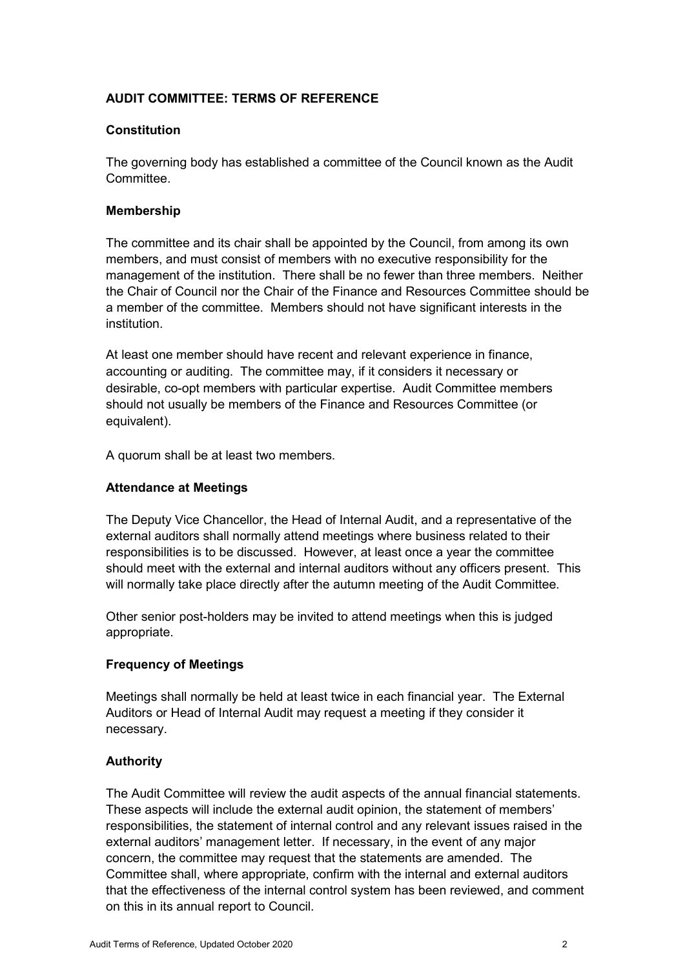## **AUDIT COMMITTEE: TERMS OF REFERENCE**

### **Constitution**

 The governing body has established a committee of the Council known as the Audit **Committee.** 

### **Membership**

 members, and must consist of members with no executive responsibility for the management of the institution. There shall be no fewer than three members. Neither the Chair of Council nor the Chair of the Finance and Resources Committee should be The committee and its chair shall be appointed by the Council, from among its own a member of the committee. Members should not have significant interests in the institution.

 accounting or auditing. The committee may, if it considers it necessary or desirable, co-opt members with particular expertise. Audit Committee members should not usually be members of the Finance and Resources Committee (or At least one member should have recent and relevant experience in finance, equivalent).

A quorum shall be at least two members.

## **Attendance at Meetings**

 should meet with the external and internal auditors without any officers present. This The Deputy Vice Chancellor, the Head of Internal Audit, and a representative of the external auditors shall normally attend meetings where business related to their responsibilities is to be discussed. However, at least once a year the committee will normally take place directly after the autumn meeting of the Audit Committee.

Other senior post-holders may be invited to attend meetings when this is judged appropriate.

# **Frequency of Meetings**

 Meetings shall normally be held at least twice in each financial year. The External Auditors or Head of Internal Audit may request a meeting if they consider it necessary.

# **Authority**

The Audit Committee will review the audit aspects of the annual financial statements. The Audit Committee will review the audit aspects of the annual financial statements.<br>These aspects will include the external audit opinion, the statement of members' concern, the committee may request that the statements are amended. The that the effectiveness of the internal control system has been reviewed, and comment responsibilities, the statement of internal control and any relevant issues raised in the external auditors' management letter. If necessary, in the event of any major Committee shall, where appropriate, confirm with the internal and external auditors on this in its annual report to Council.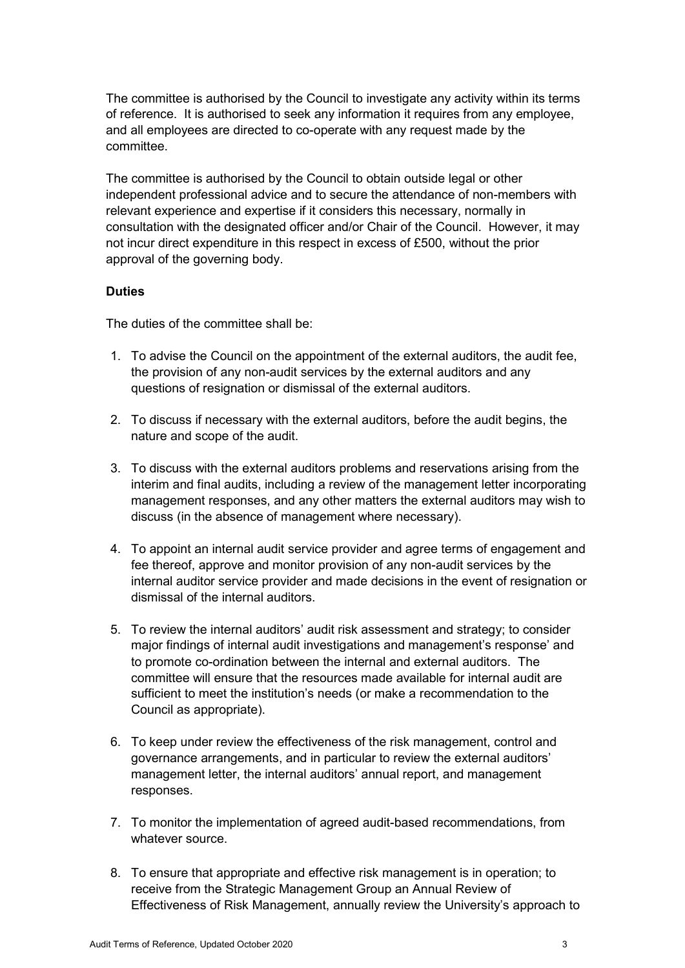The committee is authorised by the Council to investigate any activity within its terms of reference. It is authorised to seek any information it requires from any employee, and all employees are directed to co-operate with any request made by the committee.

 consultation with the designated officer and/or Chair of the Council. However, it may The committee is authorised by the Council to obtain outside legal or other independent professional advice and to secure the attendance of non-members with relevant experience and expertise if it considers this necessary, normally in not incur direct expenditure in this respect in excess of £500, without the prior approval of the governing body.

### **Duties**

The duties of the committee shall be:

- 1. To advise the Council on the appointment of the external auditors, the audit fee, the provision of any non-audit services by the external auditors and any questions of resignation or dismissal of the external auditors.
- 2. To discuss if necessary with the external auditors, before the audit begins, the nature and scope of the audit.
- 3. To discuss with the external auditors problems and reservations arising from the management responses, and any other matters the external auditors may wish to discuss (in the absence of management where necessary). interim and final audits, including a review of the management letter incorporating
- 4. To appoint an internal audit service provider and agree terms of engagement and fee thereof, approve and monitor provision of any non-audit services by the internal auditor service provider and made decisions in the event of resignation or dismissal of the internal auditors.
- 5. To review the internal auditors' audit risk assessment and strategy; to consider to promote co-ordination between the internal and external auditors. The sufficient to meet the institution's needs (or make a recommendation to the major findings of internal audit investigations and management's response' and committee will ensure that the resources made available for internal audit are Council as appropriate).
- 6. To keep under review the effectiveness of the risk management, control and governance arrangements, and in particular to review the external auditors' management letter, the internal auditors' annual report, and management responses.
- 7. To monitor the implementation of agreed audit-based recommendations, from whatever source.
- 8. To ensure that appropriate and effective risk management is in operation; to receive from the Strategic Management Group an Annual Review of Effectiveness of Risk Management, annually review the University's approach to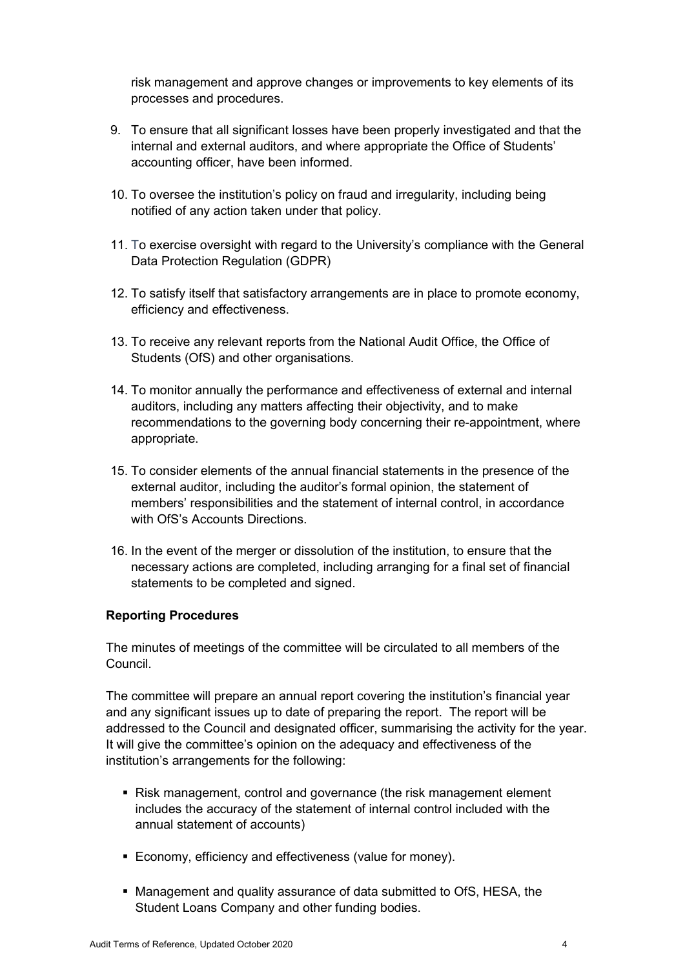risk management and approve changes or improvements to key elements of its processes and procedures.

- 9. To ensure that all significant losses have been properly investigated and that the internal and external auditors, and where appropriate the Office of Students' accounting officer, have been informed.
- 10. To oversee the institution's policy on fraud and irregularity, including being notified of any action taken under that policy.
- Data Protection Regulation (GDPR) 11. To exercise oversight with regard to the University's compliance with the General
- 12. To satisfy itself that satisfactory arrangements are in place to promote economy, efficiency and effectiveness.
- 13. To receive any relevant reports from the National Audit Office, the Office of Students (OfS) and other organisations.
- 14. To monitor annually the performance and effectiveness of external and internal auditors, including any matters affecting their objectivity, and to make recommendations to the governing body concerning their re-appointment, where appropriate.
- 15. To consider elements of the annual financial statements in the presence of the external auditor, including the auditor's formal opinion, the statement of members' responsibilities and the statement of internal control, in accordance with OfS's Accounts Directions.
- 16. In the event of the merger or dissolution of the institution, to ensure that the necessary actions are completed, including arranging for a final set of financial statements to be completed and signed.

### **Reporting Procedures**

The minutes of meetings of the committee will be circulated to all members of the Council.

 and any significant issues up to date of preparing the report. The report will be addressed to the Council and designated officer, summarising the activity for the year. The committee will prepare an annual report covering the institution's financial year It will give the committee's opinion on the adequacy and effectiveness of the institution's arrangements for the following:

- Risk management, control and governance (the risk management element includes the accuracy of the statement of internal control included with the annual statement of accounts)
- Economy, efficiency and effectiveness (value for money).
- Management and quality assurance of data submitted to OfS, HESA, the Student Loans Company and other funding bodies.